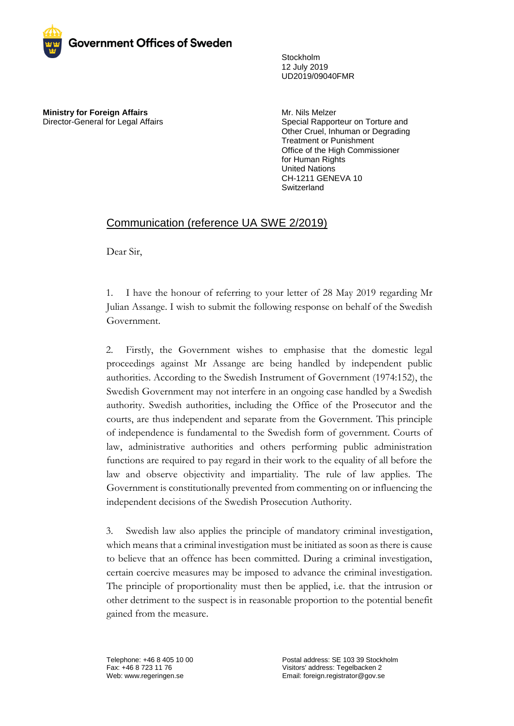

Stockholm 12 July 2019 UD2019/09040FMR

**Ministry for Foreign Affairs** Director-General for Legal Affairs Mr. Nils Melzer Special Rapporteur on Torture and Other Cruel, Inhuman or Degrading Treatment or Punishment Office of the High Commissioner for Human Rights United Nations CH-1211 GENEVA 10 **Switzerland** 

## Communication (reference UA SWE 2/2019)

Dear Sir,

1. I have the honour of referring to your letter of 28 May 2019 regarding Mr Julian Assange. I wish to submit the following response on behalf of the Swedish Government.

2. Firstly, the Government wishes to emphasise that the domestic legal proceedings against Mr Assange are being handled by independent public authorities. According to the Swedish Instrument of Government (1974:152), the Swedish Government may not interfere in an ongoing case handled by a Swedish authority. Swedish authorities, including the Office of the Prosecutor and the courts, are thus independent and separate from the Government. This principle of independence is fundamental to the Swedish form of government. Courts of law, administrative authorities and others performing public administration functions are required to pay regard in their work to the equality of all before the law and observe objectivity and impartiality. The rule of law applies. The Government is constitutionally prevented from commenting on or influencing the independent decisions of the Swedish Prosecution Authority.

3. Swedish law also applies the principle of mandatory criminal investigation, which means that a criminal investigation must be initiated as soon as there is cause to believe that an offence has been committed. During a criminal investigation, certain coercive measures may be imposed to advance the criminal investigation. The principle of proportionality must then be applied, i.e. that the intrusion or other detriment to the suspect is in reasonable proportion to the potential benefit gained from the measure.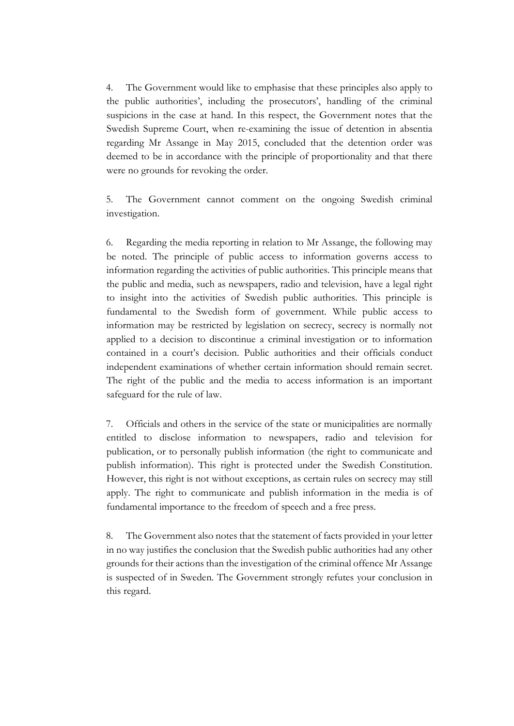4. The Government would like to emphasise that these principles also apply to the public authorities', including the prosecutors', handling of the criminal suspicions in the case at hand. In this respect, the Government notes that the Swedish Supreme Court, when re-examining the issue of detention in absentia regarding Mr Assange in May 2015, concluded that the detention order was deemed to be in accordance with the principle of proportionality and that there were no grounds for revoking the order.

5. The Government cannot comment on the ongoing Swedish criminal investigation.

6. Regarding the media reporting in relation to Mr Assange, the following may be noted. The principle of public access to information governs access to information regarding the activities of public authorities. This principle means that the public and media, such as newspapers, radio and television, have a legal right to insight into the activities of Swedish public authorities. This principle is fundamental to the Swedish form of government. While public access to information may be restricted by legislation on secrecy, secrecy is normally not applied to a decision to discontinue a criminal investigation or to information contained in a court's decision. Public authorities and their officials conduct independent examinations of whether certain information should remain secret. The right of the public and the media to access information is an important safeguard for the rule of law.

7. Officials and others in the service of the state or municipalities are normally entitled to disclose information to newspapers, radio and television for publication, or to personally publish information (the right to communicate and publish information). This right is protected under the Swedish Constitution. However, this right is not without exceptions, as certain rules on secrecy may still apply. The right to communicate and publish information in the media is of fundamental importance to the freedom of speech and a free press.

8. The Government also notes that the statement of facts provided in your letter in no way justifies the conclusion that the Swedish public authorities had any other grounds for their actions than the investigation of the criminal offence Mr Assange is suspected of in Sweden. The Government strongly refutes your conclusion in this regard.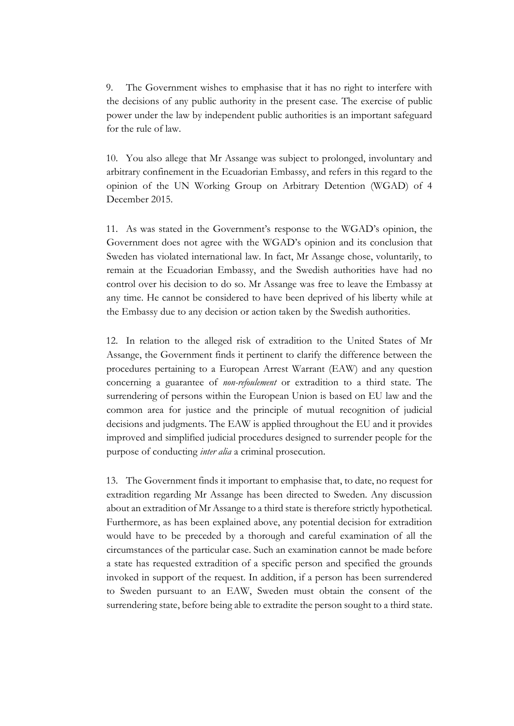9. The Government wishes to emphasise that it has no right to interfere with the decisions of any public authority in the present case. The exercise of public power under the law by independent public authorities is an important safeguard for the rule of law.

10. You also allege that Mr Assange was subject to prolonged, involuntary and arbitrary confinement in the Ecuadorian Embassy, and refers in this regard to the opinion of the UN Working Group on Arbitrary Detention (WGAD) of 4 December 2015.

11. As was stated in the Government's response to the WGAD's opinion, the Government does not agree with the WGAD's opinion and its conclusion that Sweden has violated international law. In fact, Mr Assange chose, voluntarily, to remain at the Ecuadorian Embassy, and the Swedish authorities have had no control over his decision to do so. Mr Assange was free to leave the Embassy at any time. He cannot be considered to have been deprived of his liberty while at the Embassy due to any decision or action taken by the Swedish authorities.

12. In relation to the alleged risk of extradition to the United States of Mr Assange, the Government finds it pertinent to clarify the difference between the procedures pertaining to a European Arrest Warrant (EAW) and any question concerning a guarantee of *non-refoulement* or extradition to a third state. The surrendering of persons within the European Union is based on EU law and the common area for justice and the principle of mutual recognition of judicial decisions and judgments. The EAW is applied throughout the EU and it provides improved and simplified judicial procedures designed to surrender people for the purpose of conducting *inter alia* a criminal prosecution.

13. The Government finds it important to emphasise that, to date, no request for extradition regarding Mr Assange has been directed to Sweden. Any discussion about an extradition of Mr Assange to a third state is therefore strictly hypothetical. Furthermore, as has been explained above, any potential decision for extradition would have to be preceded by a thorough and careful examination of all the circumstances of the particular case. Such an examination cannot be made before a state has requested extradition of a specific person and specified the grounds invoked in support of the request. In addition, if a person has been surrendered to Sweden pursuant to an EAW, Sweden must obtain the consent of the surrendering state, before being able to extradite the person sought to a third state.